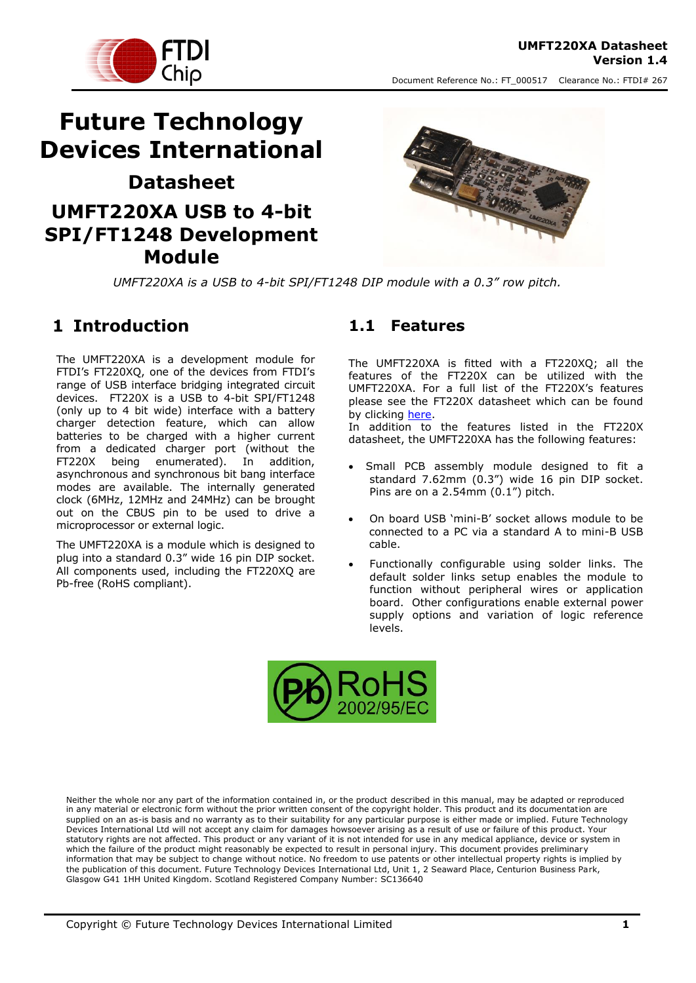



# **Future Technology Devices International Datasheet UMFT220XA USB to 4-bit SPI/FT1248 Development Module**



*UMFT220XA is a USB to 4-bit SPI/FT1248 DIP module with a 0.3" row pitch.*

### <span id="page-0-0"></span>**1 Introduction**

The UMFT220XA is a development module for FTDI's FT220XQ, one of the devices from FTDI's range of USB interface bridging integrated circuit devices. FT220X is a USB to 4-bit SPI/FT1248 (only up to 4 bit wide) interface with a battery charger detection feature, which can allow batteries to be charged with a higher current from a dedicated charger port (without the FT220X being enumerated). In addition, asynchronous and synchronous bit bang interface modes are available. The internally generated clock (6MHz, 12MHz and 24MHz) can be brought out on the CBUS pin to be used to drive a microprocessor or external logic.

The UMFT220XA is a module which is designed to plug into a standard 0.3" wide 16 pin DIP socket. All components used, including the FT220XQ are Pb-free (RoHS compliant).

#### <span id="page-0-1"></span>**1.1 Features**

The UMFT220XA is fitted with a FT220XQ; all the features of the FT220X can be utilized with the UMFT220XA. For a full list of the FT220X's features please see the FT220X datasheet which can be found by clicking [here.](http://www.ftdichip.com/Support/Documents/DataSheets/ICs/DS_FT220X.pdf) In addition to the features listed in the FT220X

datasheet, the UMFT220XA has the following features:

- Small PCB assembly module designed to fit a standard 7.62mm (0.3") wide 16 pin DIP socket. Pins are on a 2.54mm (0.1") pitch.
- On board USB 'mini-B' socket allows module to be connected to a PC via a standard A to mini-B USB cable.
- Functionally configurable using solder links. The default solder links setup enables the module to function without peripheral wires or application board. Other configurations enable external power supply options and variation of logic reference levels.



Neither the whole nor any part of the information contained in, or the product described in this manual, may be adapted or reproduced in any material or electronic form without the prior written consent of the copyright holder. This product and its documentation are supplied on an as-is basis and no warranty as to their suitability for any particular purpose is either made or implied. Future Technology Devices International Ltd will not accept any claim for damages howsoever arising as a result of use or failure of this product. Your statutory rights are not affected. This product or any variant of it is not intended for use in any medical appliance, device or system in which the failure of the product might reasonably be expected to result in personal injury. This document provides preliminary information that may be subject to change without notice. No freedom to use patents or other intellectual property rights is implied by the publication of this document. Future Technology Devices International Ltd, Unit 1, 2 Seaward Place, Centurion Business Park, Glasgow G41 1HH United Kingdom. Scotland Registered Company Number: SC136640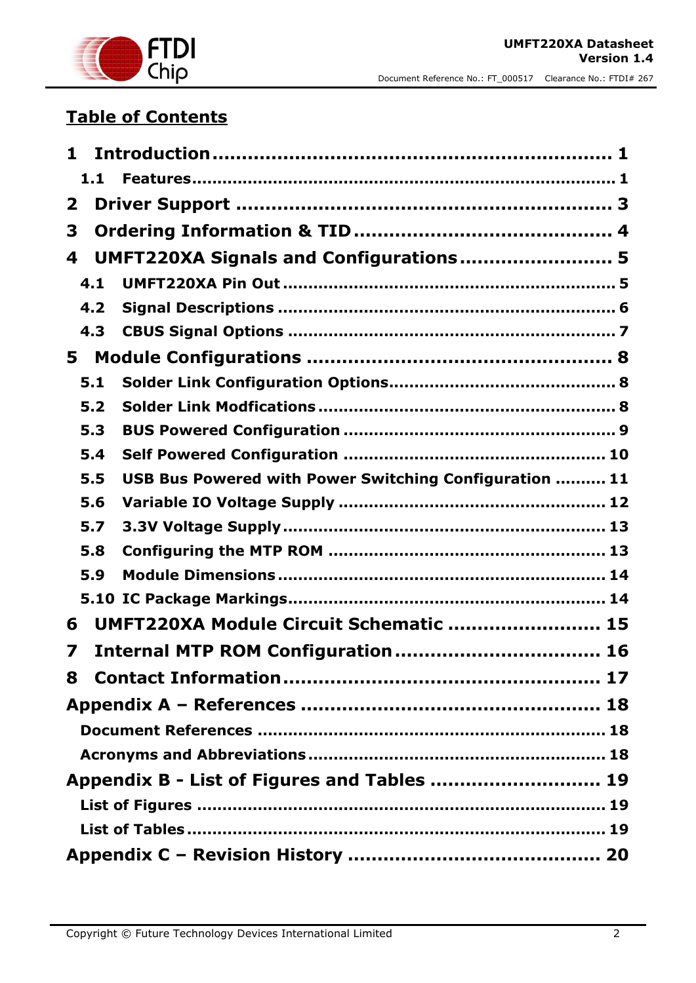

## **Table of Contents**

| 1            |                                                        |  |
|--------------|--------------------------------------------------------|--|
| 1.1          |                                                        |  |
| $\mathbf{2}$ |                                                        |  |
| 3            |                                                        |  |
| 4            | UMFT220XA Signals and Configurations 5                 |  |
| 4.1          |                                                        |  |
| 4.2          |                                                        |  |
| 4.3          |                                                        |  |
| 5            |                                                        |  |
| 5.1          |                                                        |  |
| 5.2          |                                                        |  |
| 5.3          |                                                        |  |
| 5.4          |                                                        |  |
| 5.5          | USB Bus Powered with Power Switching Configuration  11 |  |
| 5.6          |                                                        |  |
| 5.7          |                                                        |  |
| 5.8          |                                                        |  |
| 5.9          |                                                        |  |
|              |                                                        |  |
| 6            | UMFT220XA Module Circuit Schematic  15                 |  |
| 7            |                                                        |  |
|              |                                                        |  |
|              |                                                        |  |
|              |                                                        |  |
|              |                                                        |  |
|              | Appendix B - List of Figures and Tables  19            |  |
|              |                                                        |  |
|              |                                                        |  |
|              |                                                        |  |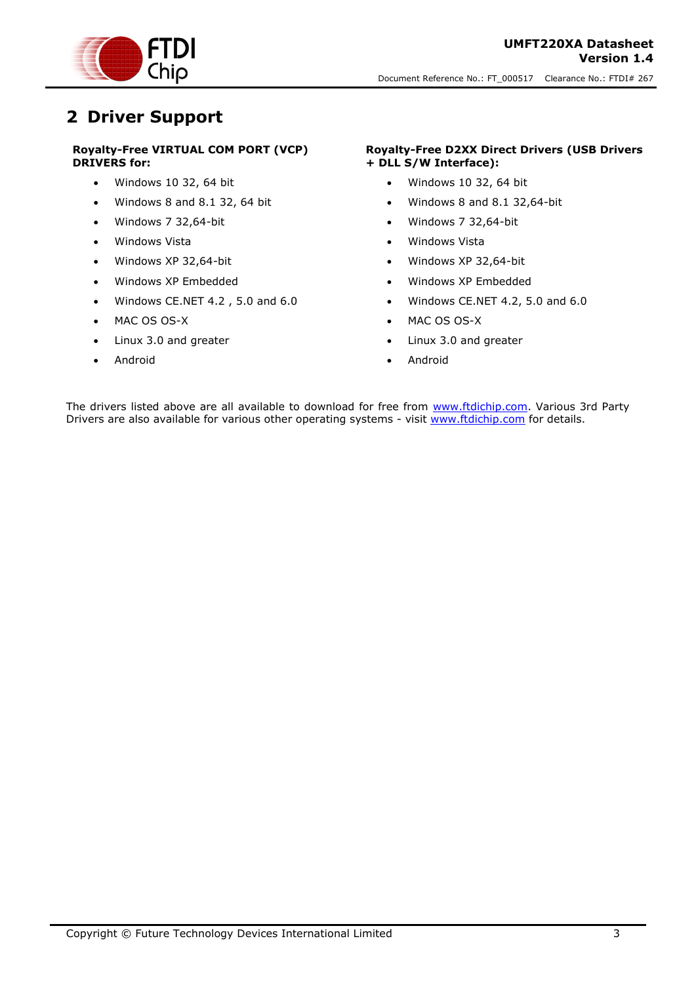

### <span id="page-2-0"></span>**2 Driver Support**

#### **Royalty-Free VIRTUAL COM PORT (VCP) DRIVERS for:**

- Windows 10 32, 64 bit
- $\bullet$  Windows 8 and 8.1 32, 64 bit
- Windows 7 32,64-bit
- Windows Vista
- Windows XP 32,64-bit
- Windows XP Embedded
- Windows CE.NET 4.2 , 5.0 and 6.0
- MAC OS OS-X
- Linux 3.0 and greater
- Android

#### **Royalty-Free D2XX Direct Drivers (USB Drivers + DLL S/W Interface):**

- Windows 10 32, 64 bit
- $\bullet$  Windows 8 and 8.1 32,64-bit
- Windows 7 32,64-bit
- Windows Vista
- Windows XP 32,64-bit
- Windows XP Embedded
- Windows CE.NET 4.2, 5.0 and 6.0
- MAC OS OS-X
- Linux 3.0 and greater
- Android

The drivers listed above are all available to download for free from [www.ftdichip.com.](http://www.ftdichip.com/) Various 3rd Party Drivers are also available for various other operating systems - visit [www.ftdichip.com](http://www.ftdichip.com/) for details.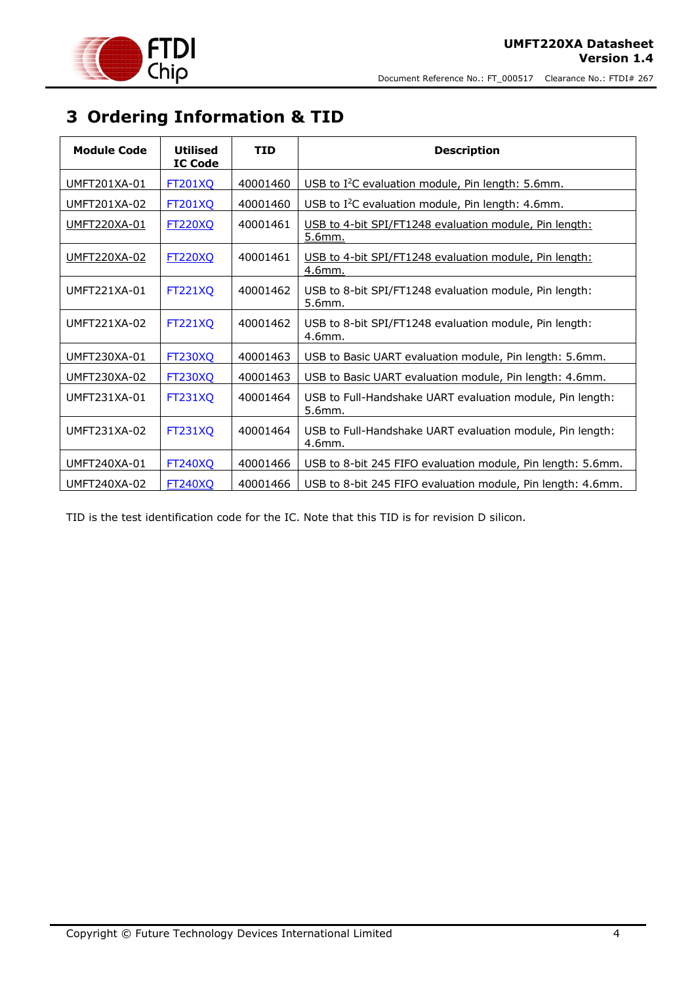



## <span id="page-3-0"></span>**3 Ordering Information & TID**

| <b>Module Code</b>  | <b>Utilised</b><br><b>IC Code</b> | <b>TID</b> | <b>Description</b>                                                  |
|---------------------|-----------------------------------|------------|---------------------------------------------------------------------|
| UMFT201XA-01        | <b>FT201XQ</b>                    | 40001460   | USB to I <sup>2</sup> C evaluation module, Pin length: 5.6mm.       |
| UMFT201XA-02        | <b>FT201XQ</b>                    | 40001460   | USB to I <sup>2</sup> C evaluation module, Pin length: 4.6mm.       |
| UMFT220XA-01        | <b>FT220XQ</b>                    | 40001461   | USB to 4-bit SPI/FT1248 evaluation module, Pin length:<br>5.6mm.    |
| <u>UMFT220XA-02</u> | <b>FT220XQ</b>                    | 40001461   | USB to 4-bit SPI/FT1248 evaluation module, Pin length:<br>4.6mm.    |
| UMFT221XA-01        | <b>FT221XQ</b>                    | 40001462   | USB to 8-bit SPI/FT1248 evaluation module, Pin length:<br>5.6mm.    |
| UMFT221XA-02        | <b>FT221XQ</b>                    | 40001462   | USB to 8-bit SPI/FT1248 evaluation module, Pin length:<br>4.6mm.    |
| UMFT230XA-01        | <b>FT230XQ</b>                    | 40001463   | USB to Basic UART evaluation module, Pin length: 5.6mm.             |
| <b>UMFT230XA-02</b> | FT230XQ                           | 40001463   | USB to Basic UART evaluation module, Pin length: 4.6mm.             |
| UMFT231XA-01        | <b>FT231XQ</b>                    | 40001464   | USB to Full-Handshake UART evaluation module, Pin length:<br>5.6mm. |
| UMFT231XA-02        | <b>FT231XQ</b>                    | 40001464   | USB to Full-Handshake UART evaluation module, Pin length:<br>4.6mm. |
| <b>UMFT240XA-01</b> | <b>FT240XQ</b>                    | 40001466   | USB to 8-bit 245 FIFO evaluation module, Pin length: 5.6mm.         |
| UMFT240XA-02        | <b>FT240XO</b>                    | 40001466   | USB to 8-bit 245 FIFO evaluation module, Pin length: 4.6mm.         |

TID is the test identification code for the IC. Note that this TID is for revision D silicon.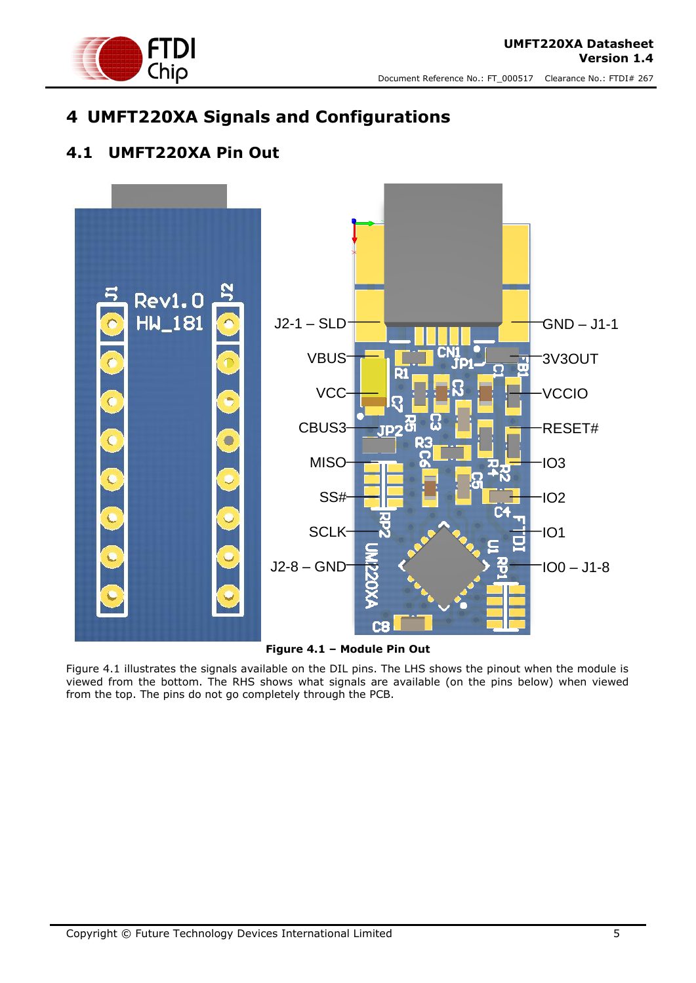

## <span id="page-4-0"></span>**4 UMFT220XA Signals and Configurations**

### <span id="page-4-1"></span>**4.1 UMFT220XA Pin Out**



**Figure 4.1 – Module Pin Out**

<span id="page-4-2"></span>Figure 4.1 illustrates the signals available on the DIL pins. The LHS shows the pinout when the module is viewed from the bottom. The RHS shows what signals are available (on the pins below) when viewed from the top. The pins do not go completely through the PCB.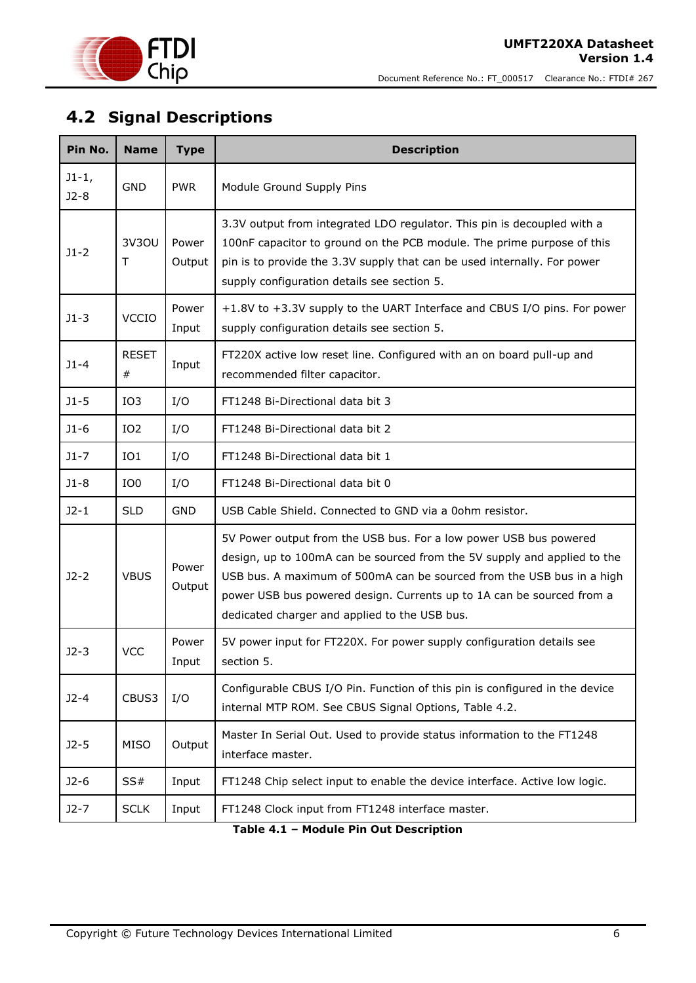

## <span id="page-5-0"></span>**4.2 Signal Descriptions**

| Pin No.           | <b>Name</b>          | <b>Type</b>     | <b>Description</b>                                                                                                                                                                                                                                                                                                                               |
|-------------------|----------------------|-----------------|--------------------------------------------------------------------------------------------------------------------------------------------------------------------------------------------------------------------------------------------------------------------------------------------------------------------------------------------------|
| $J1-1,$<br>$J2-8$ | <b>GND</b>           | <b>PWR</b>      | Module Ground Supply Pins                                                                                                                                                                                                                                                                                                                        |
| $J1-2$            | 3V30U<br>Τ           | Power<br>Output | 3.3V output from integrated LDO regulator. This pin is decoupled with a<br>100nF capacitor to ground on the PCB module. The prime purpose of this<br>pin is to provide the 3.3V supply that can be used internally. For power<br>supply configuration details see section 5.                                                                     |
| $J1-3$            | <b>VCCIO</b>         | Power<br>Input  | +1.8V to +3.3V supply to the UART Interface and CBUS I/O pins. For power<br>supply configuration details see section 5.                                                                                                                                                                                                                          |
| $J1 - 4$          | <b>RESET</b><br>$\#$ | Input           | FT220X active low reset line. Configured with an on board pull-up and<br>recommended filter capacitor.                                                                                                                                                                                                                                           |
| $J1-5$            | IO <sub>3</sub>      | I/O             | FT1248 Bi-Directional data bit 3                                                                                                                                                                                                                                                                                                                 |
| $J1-6$            | IO <sub>2</sub>      | I/O             | FT1248 Bi-Directional data bit 2                                                                                                                                                                                                                                                                                                                 |
| $J1 - 7$          | IO1                  | I/O             | FT1248 Bi-Directional data bit 1                                                                                                                                                                                                                                                                                                                 |
| $J1-8$            | IO <sub>0</sub>      | I/O             | FT1248 Bi-Directional data bit 0                                                                                                                                                                                                                                                                                                                 |
| $J2-1$            | <b>SLD</b>           | <b>GND</b>      | USB Cable Shield. Connected to GND via a 00hm resistor.                                                                                                                                                                                                                                                                                          |
| $J2-2$            | <b>VBUS</b>          | Power<br>Output | 5V Power output from the USB bus. For a low power USB bus powered<br>design, up to 100mA can be sourced from the 5V supply and applied to the<br>USB bus. A maximum of 500mA can be sourced from the USB bus in a high<br>power USB bus powered design. Currents up to 1A can be sourced from a<br>dedicated charger and applied to the USB bus. |
| $J2-3$            | <b>VCC</b>           | Power<br>Input  | 5V power input for FT220X. For power supply configuration details see<br>section 5.                                                                                                                                                                                                                                                              |
| $J2 - 4$          | CBUS3                | I/O             | Configurable CBUS I/O Pin. Function of this pin is configured in the device<br>internal MTP ROM. See CBUS Signal Options, Table 4.2.                                                                                                                                                                                                             |
| $J2-5$            | <b>MISO</b>          | Output          | Master In Serial Out. Used to provide status information to the FT1248<br>interface master.                                                                                                                                                                                                                                                      |
| $J2-6$            | SS#                  | Input           | FT1248 Chip select input to enable the device interface. Active low logic.                                                                                                                                                                                                                                                                       |
| $J2-7$            | <b>SCLK</b>          | Input           | FT1248 Clock input from FT1248 interface master.                                                                                                                                                                                                                                                                                                 |

<span id="page-5-1"></span>**Table 4.1 – Module Pin Out Description**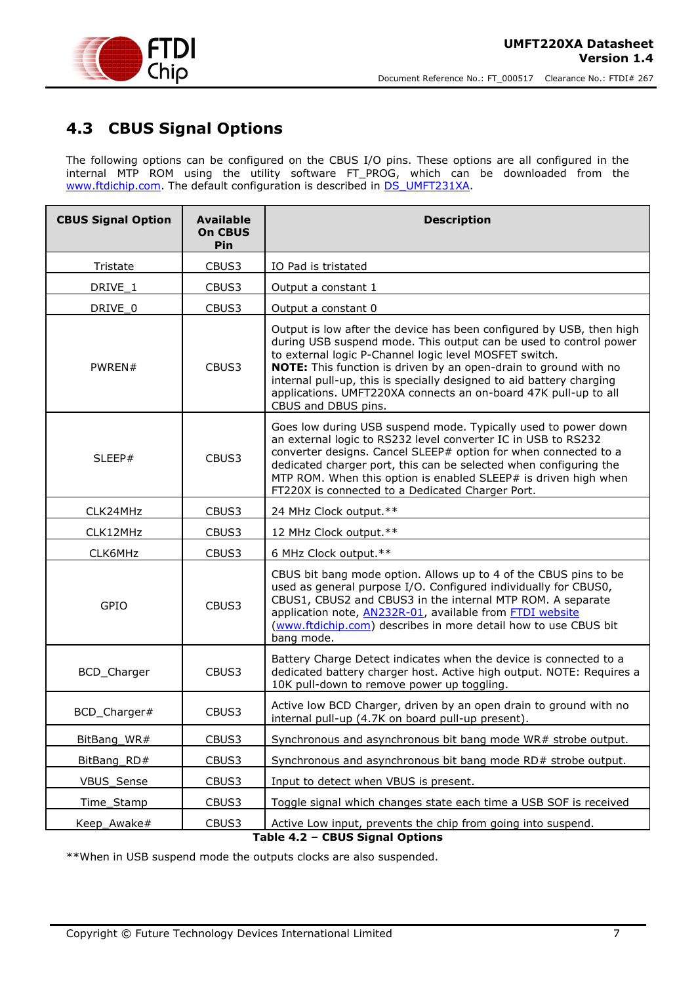

### <span id="page-6-0"></span>**4.3 CBUS Signal Options**

The following options can be configured on the CBUS I/O pins. These options are all configured in the internal MTP ROM using the utility software FT\_PROG, which can be downloaded from the [www.ftdichip.com.](http://www.ftdichip.com/) The default configuration is described in **DS\_UMFT231XA**.

| <b>CBUS Signal Option</b> | <b>Available</b><br><b>On CBUS</b><br>Pin | <b>Description</b>                                                                                                                                                                                                                                                                                                                                                                                                                        |
|---------------------------|-------------------------------------------|-------------------------------------------------------------------------------------------------------------------------------------------------------------------------------------------------------------------------------------------------------------------------------------------------------------------------------------------------------------------------------------------------------------------------------------------|
| Tristate                  | CBUS3                                     | IO Pad is tristated                                                                                                                                                                                                                                                                                                                                                                                                                       |
| DRIVE_1                   | CBUS3                                     | Output a constant 1                                                                                                                                                                                                                                                                                                                                                                                                                       |
| DRIVE_0                   | CBUS3                                     | Output a constant 0                                                                                                                                                                                                                                                                                                                                                                                                                       |
| PWREN#                    | CBUS3                                     | Output is low after the device has been configured by USB, then high<br>during USB suspend mode. This output can be used to control power<br>to external logic P-Channel logic level MOSFET switch.<br>NOTE: This function is driven by an open-drain to ground with no<br>internal pull-up, this is specially designed to aid battery charging<br>applications. UMFT220XA connects an on-board 47K pull-up to all<br>CBUS and DBUS pins. |
| SLEEP#                    | CBUS3                                     | Goes low during USB suspend mode. Typically used to power down<br>an external logic to RS232 level converter IC in USB to RS232<br>converter designs. Cancel SLEEP# option for when connected to a<br>dedicated charger port, this can be selected when configuring the<br>MTP ROM. When this option is enabled SLEEP# is driven high when<br>FT220X is connected to a Dedicated Charger Port.                                            |
| CLK24MHz                  | CBUS3                                     | 24 MHz Clock output.**                                                                                                                                                                                                                                                                                                                                                                                                                    |
| CLK12MHz                  | CBUS3                                     | 12 MHz Clock output.**                                                                                                                                                                                                                                                                                                                                                                                                                    |
| CLK6MHz                   | CBUS3                                     | 6 MHz Clock output.**                                                                                                                                                                                                                                                                                                                                                                                                                     |
| GPIO                      | CBUS3                                     | CBUS bit bang mode option. Allows up to 4 of the CBUS pins to be<br>used as general purpose I/O. Configured individually for CBUS0,<br>CBUS1, CBUS2 and CBUS3 in the internal MTP ROM. A separate<br>application note, AN232R-01, available from FTDI website<br>(www.ftdichip.com) describes in more detail how to use CBUS bit<br>bang mode.                                                                                            |
| BCD_Charger               | CBUS3                                     | Battery Charge Detect indicates when the device is connected to a<br>dedicated battery charger host. Active high output. NOTE: Requires a<br>10K pull-down to remove power up toggling.                                                                                                                                                                                                                                                   |
| BCD_Charger#              | CBUS3                                     | Active low BCD Charger, driven by an open drain to ground with no<br>internal pull-up (4.7K on board pull-up present).                                                                                                                                                                                                                                                                                                                    |
| BitBang_WR#               | CBUS3                                     | Synchronous and asynchronous bit bang mode WR# strobe output.                                                                                                                                                                                                                                                                                                                                                                             |
| BitBang_RD#               | CBUS3                                     | Synchronous and asynchronous bit bang mode RD# strobe output.                                                                                                                                                                                                                                                                                                                                                                             |
| VBUS_Sense                | CBUS3                                     | Input to detect when VBUS is present.                                                                                                                                                                                                                                                                                                                                                                                                     |
| Time_Stamp                | CBUS3                                     | Toggle signal which changes state each time a USB SOF is received                                                                                                                                                                                                                                                                                                                                                                         |
| Keep_Awake#               | CBUS3                                     | Active Low input, prevents the chip from going into suspend.                                                                                                                                                                                                                                                                                                                                                                              |

**Table 4.2 – CBUS Signal Options**

<span id="page-6-1"></span>\*\*When in USB suspend mode the outputs clocks are also suspended.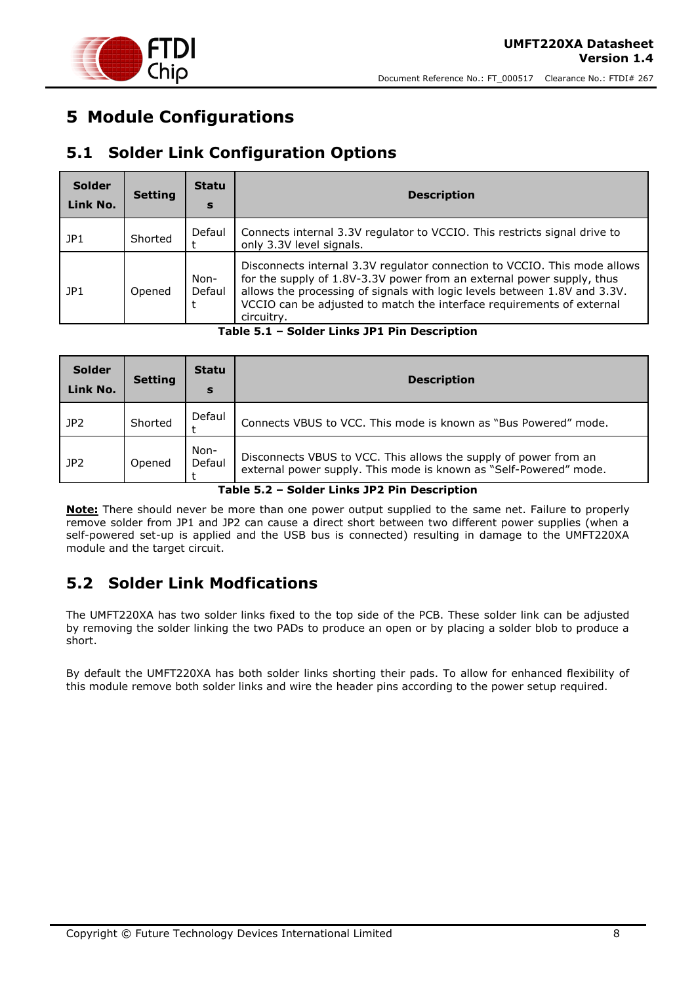

### <span id="page-7-0"></span>**5 Module Configurations**

### <span id="page-7-1"></span>**5.1 Solder Link Configuration Options**

| <b>Solder</b><br>Link No. | <b>Setting</b> | <b>Statu</b><br>s | <b>Description</b>                                                                                                                                                                                                                                                                                                     |
|---------------------------|----------------|-------------------|------------------------------------------------------------------------------------------------------------------------------------------------------------------------------------------------------------------------------------------------------------------------------------------------------------------------|
| JPI                       | Shorted        | Defaul            | Connects internal 3.3V regulator to VCCIO. This restricts signal drive to<br>only 3.3V level signals.                                                                                                                                                                                                                  |
| JPI                       | Opened         | Non-<br>Defaul    | Disconnects internal 3.3V regulator connection to VCCIO. This mode allows<br>for the supply of 1.8V-3.3V power from an external power supply, thus<br>allows the processing of signals with logic levels between 1.8V and 3.3V.<br>VCCIO can be adjusted to match the interface requirements of external<br>circuitry. |

**Table 5.1 – Solder Links JP1 Pin Description**

<span id="page-7-3"></span>

| <b>Solder</b><br>Link No. | <b>Setting</b> | <b>Statu</b><br>S | <b>Description</b>                                                                                                                                                                  |
|---------------------------|----------------|-------------------|-------------------------------------------------------------------------------------------------------------------------------------------------------------------------------------|
| JP <sub>2</sub>           | Shorted        | Defaul            | Connects VBUS to VCC. This mode is known as "Bus Powered" mode.                                                                                                                     |
| JP2                       | Opened         | Non-<br>Defaul    | Disconnects VBUS to VCC. This allows the supply of power from an<br>external power supply. This mode is known as "Self-Powered" mode.<br>Additional to the time who we consider the |

**Table 5.2 – Solder Links JP2 Pin Description**

<span id="page-7-4"></span>**Note:** There should never be more than one power output supplied to the same net. Failure to properly remove solder from JP1 and JP2 can cause a direct short between two different power supplies (when a self-powered set-up is applied and the USB bus is connected) resulting in damage to the UMFT220XA module and the target circuit.

### <span id="page-7-2"></span>**5.2 Solder Link Modfications**

The UMFT220XA has two solder links fixed to the top side of the PCB. These solder link can be adjusted by removing the solder linking the two PADs to produce an open or by placing a solder blob to produce a short.

By default the UMFT220XA has both solder links shorting their pads. To allow for enhanced flexibility of this module remove both solder links and wire the header pins according to the power setup required.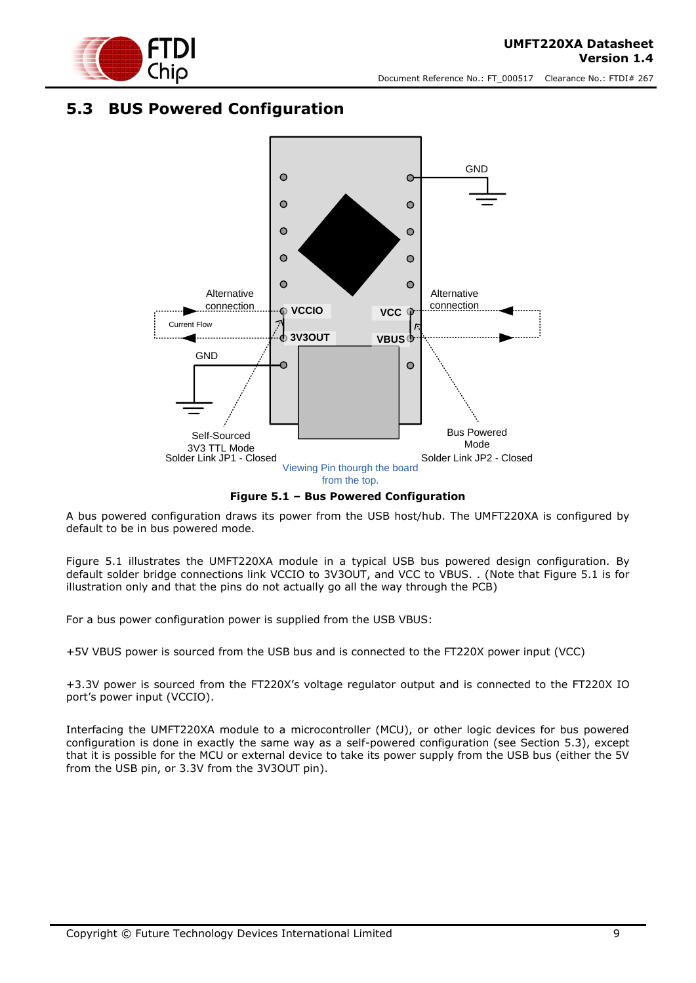

#### <span id="page-8-0"></span>**5.3 BUS Powered Configuration**



**Figure 5.1 – Bus Powered Configuration**

<span id="page-8-1"></span>A bus powered configuration draws its power from the USB host/hub. The UMFT220XA is configured by default to be in bus powered mode.

[Figure 5.1](#page-8-1) illustrates the UMFT220XA module in a typical USB bus powered design configuration. By default solder bridge connections link VCCIO to 3V3OUT, and VCC to VBUS. . (Note that Figure 5.1 is for illustration only and that the pins do not actually go all the way through the PCB)

For a bus power configuration power is supplied from the USB VBUS:

+5V VBUS power is sourced from the USB bus and is connected to the FT220X power input (VCC)

+3.3V power is sourced from the FT220X's voltage regulator output and is connected to the FT220X IO port's power input (VCCIO).

Interfacing the UMFT220XA module to a microcontroller (MCU), or other logic devices for bus powered configuration is done in exactly the same way as a self-powered configuration (see Section 5.3), except that it is possible for the MCU or external device to take its power supply from the USB bus (either the 5V from the USB pin, or 3.3V from the 3V3OUT pin).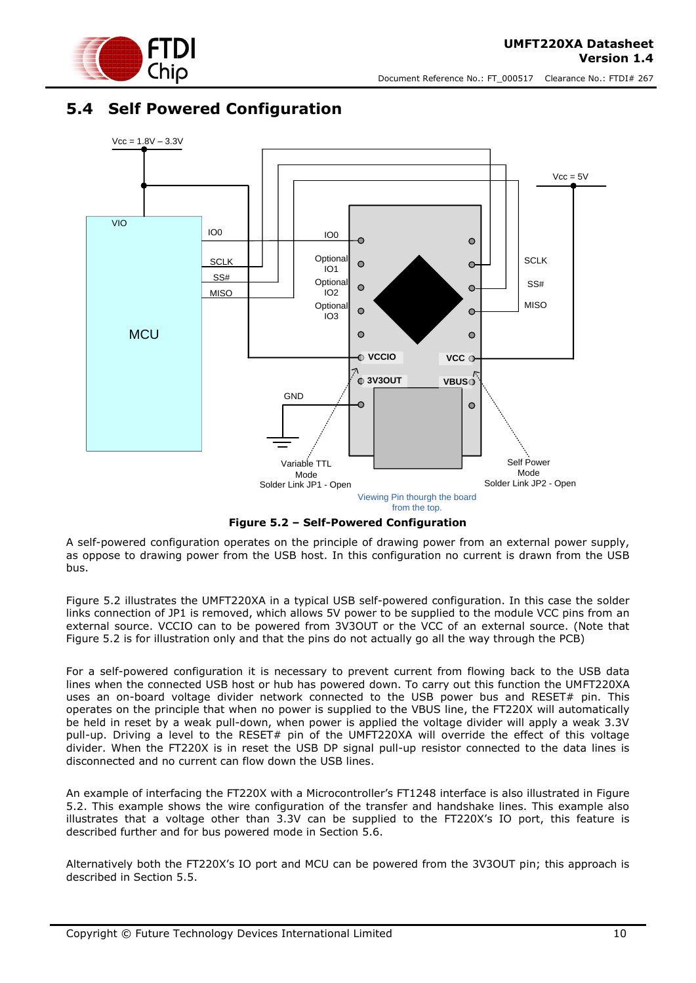

#### <span id="page-9-0"></span>**5.4 Self Powered Configuration**



**Figure 5.2 – Self-Powered Configuration**

<span id="page-9-1"></span>A self-powered configuration operates on the principle of drawing power from an external power supply, as oppose to drawing power from the USB host. In this configuration no current is drawn from the USB bus.

[Figure 5.2](#page-9-1) illustrates the UMFT220XA in a typical USB self-powered configuration. In this case the solder links connection of JP1 is removed, which allows 5V power to be supplied to the module VCC pins from an external source. VCCIO can to be powered from 3V3OUT or the VCC of an external source. (Note that Figure 5.2 is for illustration only and that the pins do not actually go all the way through the PCB)

For a self-powered configuration it is necessary to prevent current from flowing back to the USB data lines when the connected USB host or hub has powered down. To carry out this function the UMFT220XA uses an on-board voltage divider network connected to the USB power bus and RESET# pin. This operates on the principle that when no power is supplied to the VBUS line, the FT220X will automatically be held in reset by a weak pull-down, when power is applied the voltage divider will apply a weak 3.3V pull-up. Driving a level to the RESET# pin of the UMFT220XA will override the effect of this voltage divider. When the FT220X is in reset the USB DP signal pull-up resistor connected to the data lines is disconnected and no current can flow down the USB lines.

An example of interfacing the FT220X with a Microcontroller's FT1248 interface is also illustrated in [Figure](#page-9-1)  [5.2.](#page-9-1) This example shows the wire configuration of the transfer and handshake lines. This example also illustrates that a voltage other than 3.3V can be supplied to the FT220X's IO port, this feature is described further and for bus powered mode in Section [5.6.](#page-11-0)

Alternatively both the FT220X's IO port and MCU can be powered from the 3V3OUT pin; this approach is described in Section [5.5.](#page-10-0)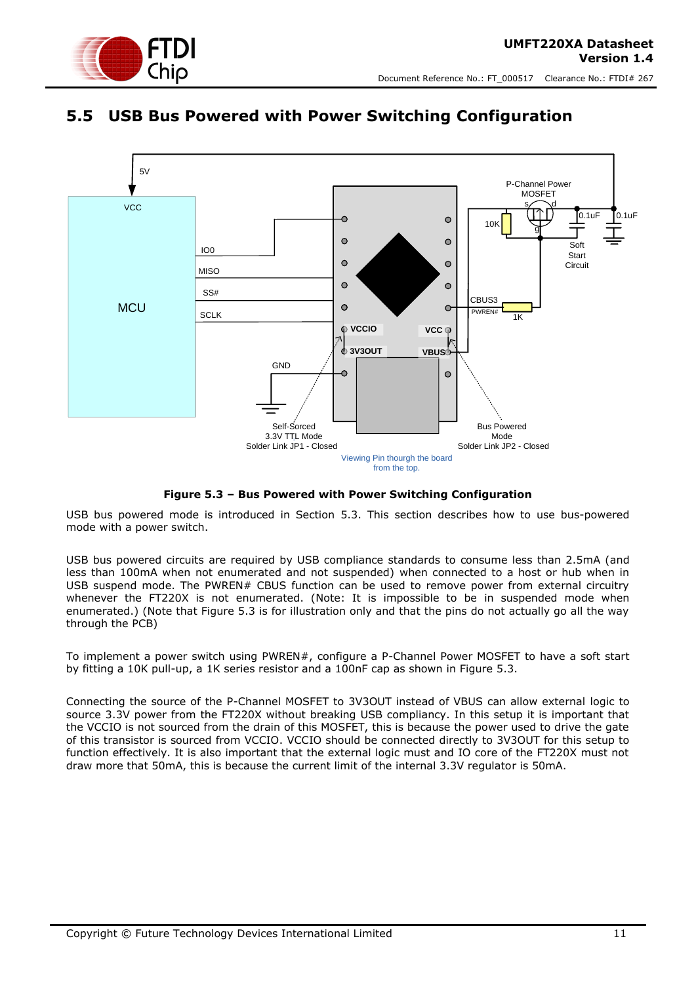

#### <span id="page-10-0"></span>**5.5 USB Bus Powered with Power Switching Configuration**



**Figure 5.3 – Bus Powered with Power Switching Configuration**

<span id="page-10-1"></span>USB bus powered mode is introduced in Section [5.3.](#page-8-0) This section describes how to use bus-powered mode with a power switch.

USB bus powered circuits are required by USB compliance standards to consume less than 2.5mA (and less than 100mA when not enumerated and not suspended) when connected to a host or hub when in USB suspend mode. The PWREN# CBUS function can be used to remove power from external circuitry whenever the FT220X is not enumerated. (Note: It is impossible to be in suspended mode when enumerated.) (Note that Figure 5.3 is for illustration only and that the pins do not actually go all the way through the PCB)

To implement a power switch using PWREN#, configure a P-Channel Power MOSFET to have a soft start by fitting a 10K pull-up, a 1K series resistor and a 100nF cap as shown in [Figure 5.3.](#page-10-1)

Connecting the source of the P-Channel MOSFET to 3V3OUT instead of VBUS can allow external logic to source 3.3V power from the FT220X without breaking USB compliancy. In this setup it is important that the VCCIO is not sourced from the drain of this MOSFET, this is because the power used to drive the gate of this transistor is sourced from VCCIO. VCCIO should be connected directly to 3V3OUT for this setup to function effectively. It is also important that the external logic must and IO core of the FT220X must not draw more that 50mA, this is because the current limit of the internal 3.3V regulator is 50mA.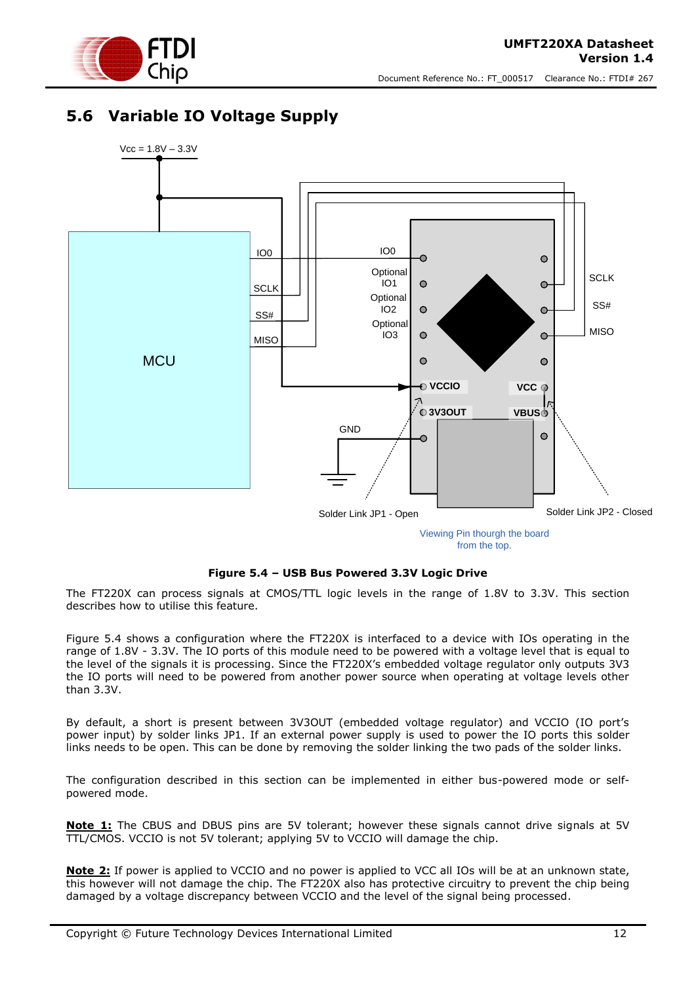

### <span id="page-11-0"></span>**5.6 Variable IO Voltage Supply**



from the top.

#### **Figure 5.4 – USB Bus Powered 3.3V Logic Drive**

<span id="page-11-1"></span>The FT220X can process signals at CMOS/TTL logic levels in the range of 1.8V to 3.3V. This section describes how to utilise this feature.

[Figure 5.4](#page-11-1) shows a configuration where the FT220X is interfaced to a device with IOs operating in the range of 1.8V - 3.3V. The IO ports of this module need to be powered with a voltage level that is equal to the level of the signals it is processing. Since the FT220X's embedded voltage regulator only outputs 3V3 the IO ports will need to be powered from another power source when operating at voltage levels other than 3.3V.

By default, a short is present between 3V3OUT (embedded voltage regulator) and VCCIO (IO port's power input) by solder links JP1. If an external power supply is used to power the IO ports this solder links needs to be open. This can be done by removing the solder linking the two pads of the solder links.

The configuration described in this section can be implemented in either bus-powered mode or selfpowered mode.

**Note 1:** The CBUS and DBUS pins are 5V tolerant; however these signals cannot drive signals at 5V TTL/CMOS. VCCIO is not 5V tolerant; applying 5V to VCCIO will damage the chip.

**Note 2:** If power is applied to VCCIO and no power is applied to VCC all IOs will be at an unknown state, this however will not damage the chip. The FT220X also has protective circuitry to prevent the chip being damaged by a voltage discrepancy between VCCIO and the level of the signal being processed.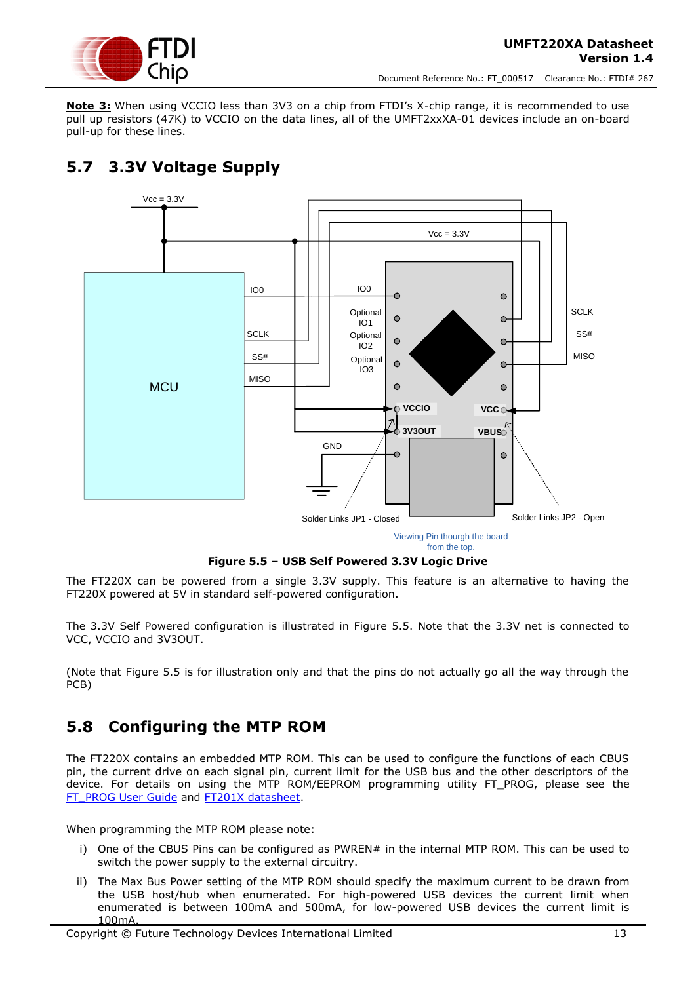

**Note 3:** When using VCCIO less than 3V3 on a chip from FTDI's X-chip range, it is recommended to use pull up resistors (47K) to VCCIO on the data lines, all of the UMFT2xxXA-01 devices include an on-board pull-up for these lines.

## <span id="page-12-0"></span>**5.7 3.3V Voltage Supply**



Viewing Pin thourgh the board from the top.

#### **Figure 5.5 – USB Self Powered 3.3V Logic Drive**

<span id="page-12-2"></span>The FT220X can be powered from a single 3.3V supply. This feature is an alternative to having the FT220X powered at 5V in standard self-powered configuration.

The 3.3V Self Powered configuration is illustrated in [Figure 5.5.](#page-12-2) Note that the 3.3V net is connected to VCC, VCCIO and 3V3OUT.

(Note that Figure 5.5 is for illustration only and that the pins do not actually go all the way through the PCB)

### <span id="page-12-1"></span>**5.8 Configuring the MTP ROM**

The FT220X contains an embedded MTP ROM. This can be used to configure the functions of each CBUS pin, the current drive on each signal pin, current limit for the USB bus and the other descriptors of the device. For details on using the MTP ROM/EEPROM programming utility FT\_PROG, please see the [FT\\_PROG User Guide](http://www.ftdichip.com/Support/Documents/AppNotes/AN_124_User_Guide_For_FT_PROG.pdf) and [FT201X datasheet.](http://www.ftdichip.com/Support/Documents/DataSheets/ICs/DS_FT201X.pdf)

When programming the MTP ROM please note:

- i) One of the CBUS Pins can be configured as PWREN# in the internal MTP ROM. This can be used to switch the power supply to the external circuitry.
- ii) The Max Bus Power setting of the MTP ROM should specify the maximum current to be drawn from the USB host/hub when enumerated. For high-powered USB devices the current limit when enumerated is between 100mA and 500mA, for low-powered USB devices the current limit is 100mA.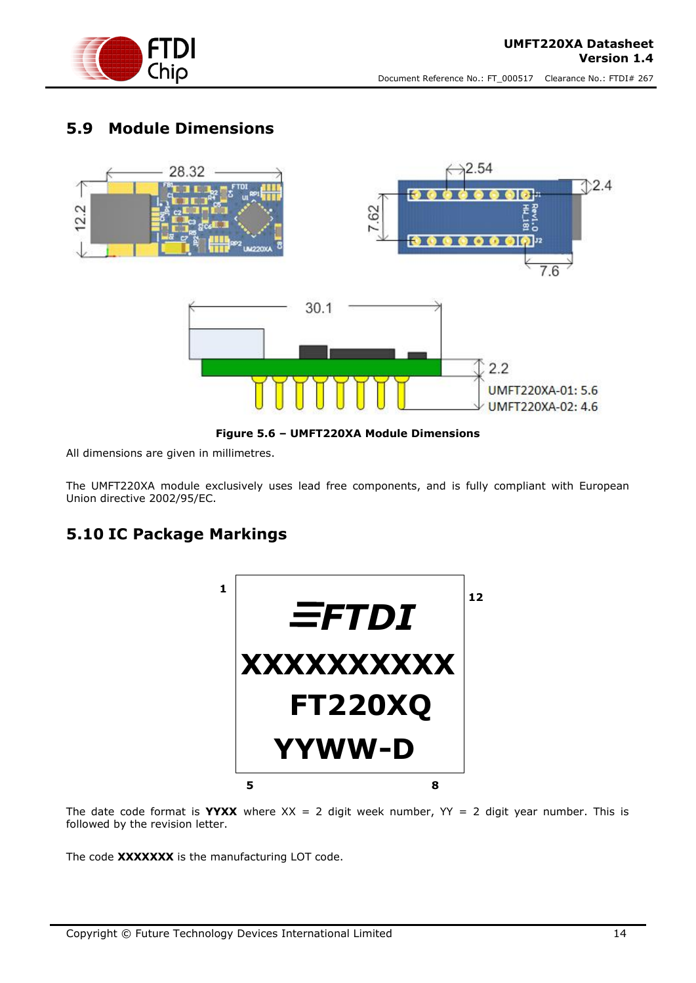

#### <span id="page-13-0"></span>**5.9 Module Dimensions**



**Figure 5.6 – UMFT220XA Module Dimensions**

<span id="page-13-2"></span>All dimensions are given in millimetres.

The UMFT220XA module exclusively uses lead free components, and is fully compliant with European Union directive 2002/95/EC.

### <span id="page-13-1"></span>**5.10 IC Package Markings**



The date code format is **YYXX** where  $XX = 2$  digit week number,  $YY = 2$  digit year number. This is followed by the revision letter.

The code **XXXXXXX** is the manufacturing LOT code.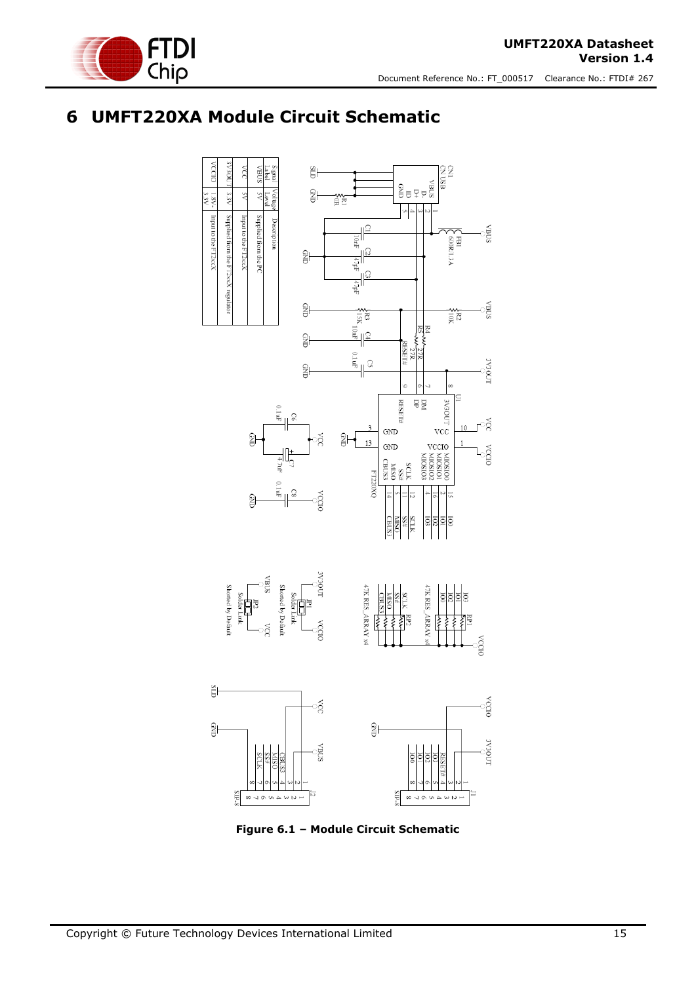

## <span id="page-14-0"></span>**6 UMFT220XA Module Circuit Schematic**



<span id="page-14-1"></span>**Figure 6.1 – Module Circuit Schematic**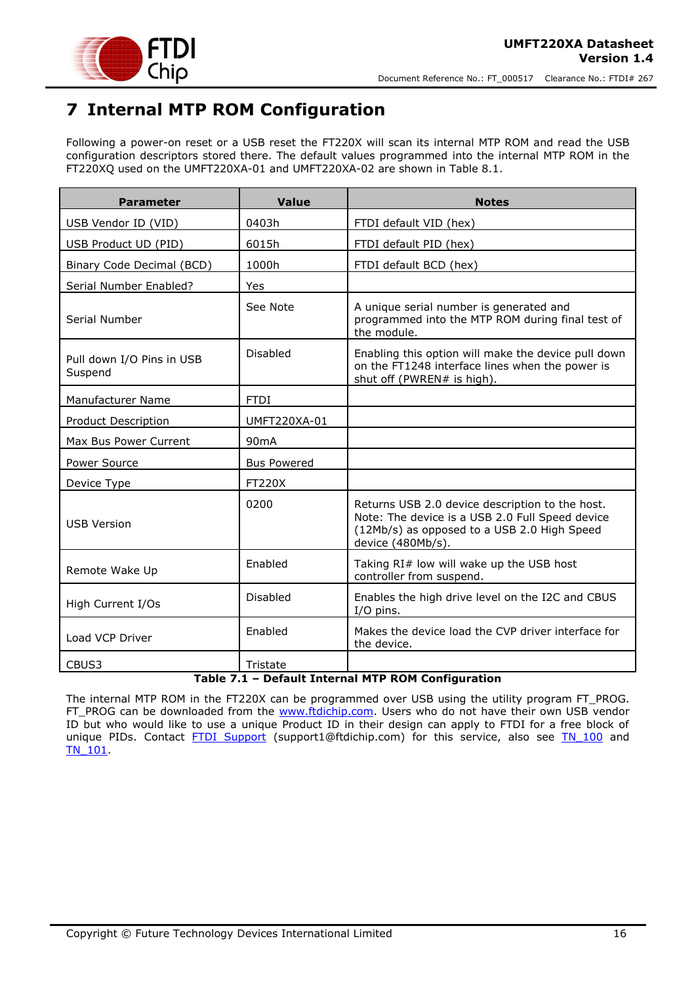

## <span id="page-15-0"></span>**7 Internal MTP ROM Configuration**

Following a power-on reset or a USB reset the FT220X will scan its internal MTP ROM and read the USB configuration descriptors stored there. The default values programmed into the internal MTP ROM in the FT220XQ used on the UMFT220XA-01 and UMFT220XA-02 are shown in Table 8.1.

| <b>Parameter</b>                     | <b>Value</b>       | <b>Notes</b>                                                                                                                                                           |
|--------------------------------------|--------------------|------------------------------------------------------------------------------------------------------------------------------------------------------------------------|
| USB Vendor ID (VID)                  | 0403h              | FTDI default VID (hex)                                                                                                                                                 |
| USB Product UD (PID)                 | 6015h              | FTDI default PID (hex)                                                                                                                                                 |
| Binary Code Decimal (BCD)            | 1000h              | FTDI default BCD (hex)                                                                                                                                                 |
| Serial Number Enabled?               | Yes                |                                                                                                                                                                        |
| Serial Number                        | See Note           | A unique serial number is generated and<br>programmed into the MTP ROM during final test of<br>the module.                                                             |
| Pull down I/O Pins in USB<br>Suspend | Disabled           | Enabling this option will make the device pull down<br>on the FT1248 interface lines when the power is<br>shut off (PWREN# is high).                                   |
| Manufacturer Name                    | <b>FTDI</b>        |                                                                                                                                                                        |
| Product Description                  | UMFT220XA-01       |                                                                                                                                                                        |
| Max Bus Power Current                | 90 <sub>m</sub> A  |                                                                                                                                                                        |
| Power Source                         | <b>Bus Powered</b> |                                                                                                                                                                        |
| Device Type                          | <b>FT220X</b>      |                                                                                                                                                                        |
| <b>USB Version</b>                   | 0200               | Returns USB 2.0 device description to the host.<br>Note: The device is a USB 2.0 Full Speed device<br>(12Mb/s) as opposed to a USB 2.0 High Speed<br>device (480Mb/s). |
| Remote Wake Up                       | Enabled            | Taking RI# low will wake up the USB host<br>controller from suspend.                                                                                                   |
| High Current I/Os                    | Disabled           | Enables the high drive level on the I2C and CBUS<br>I/O pins.                                                                                                          |
| Load VCP Driver                      | Enabled            | Makes the device load the CVP driver interface for<br>the device.                                                                                                      |
| CBUS3                                | Tristate           | $\sim$<br>$\sim$ $\sim$<br>$- - - -$                                                                                                                                   |

#### **Table 7.1 – Default Internal MTP ROM Configuration**

<span id="page-15-1"></span>The internal MTP ROM in the FT220X can be programmed over USB using the utility program FT\_PROG. FT\_PROG can be downloaded from the [www.ftdichip.com.](http://www.ftdichip.com/) Users who do not have their own USB vendor ID but who would like to use a unique Product ID in their design can apply to FTDI for a free block of unique PIDs. Contact [FTDI Support](mailto:support1@ftdichip.com?subject=UM232R%20Free%20Block%20of%20Unique%20PIDs) (support1@ftdichip.com) for this service, also see TN 100 and [TN\\_101.](http://www.ftdichip.com/Support/Documents/TechnicalNotes/TN_104_Guide%20to%20Debugging_Customers_Failed_Driver_%20Installation_%20on_%20Windows.pdf)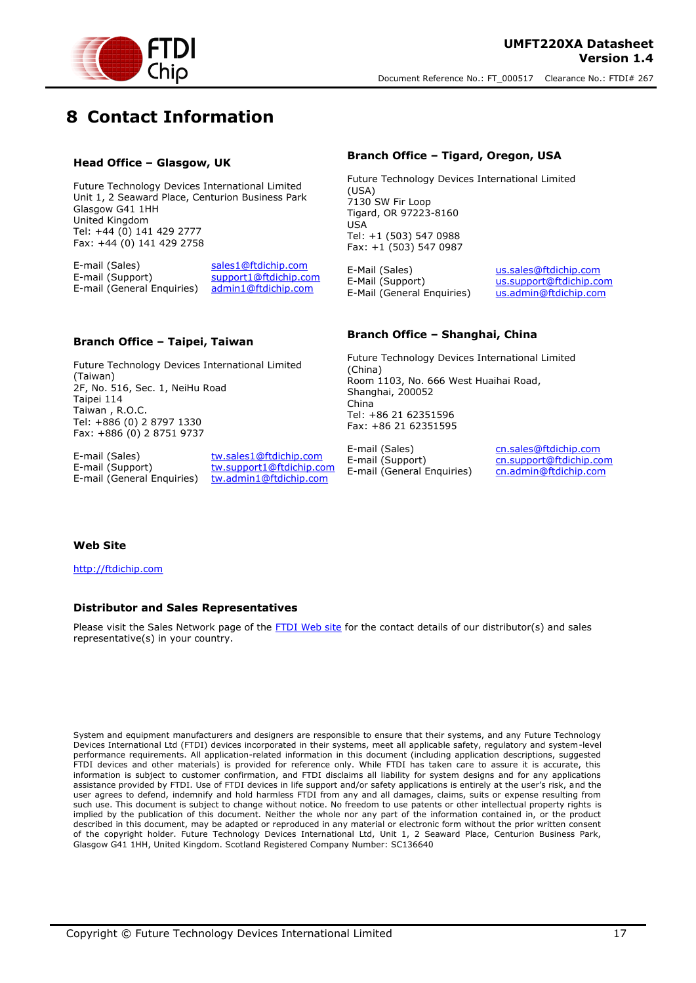

## <span id="page-16-0"></span>**8 Contact Information**

#### **Head Office – Glasgow, UK**

Future Technology Devices International Limited Unit 1, 2 Seaward Place, Centurion Business Park Glasgow G41 1HH United Kingdom Tel: +44 (0) 141 429 2777 Fax: +44 (0) 141 429 2758

E-mail (Sales) sales1@ftdichip.com<br>E-mail (Support) support1@ftdichip.com support1@ftdichip.com<br>admin1@ftdichip.com  $E$ -mail (General Enquiries)

#### **Branch Office – Tigard, Oregon, USA**

Future Technology Devices International Limited (USA) 7130 SW Fir Loop Tigard, OR 97223-8160 USA Tel: +1 (503) 547 0988 Fax: +1 (503) 547 0987

E-Mail (Sales) us.sales@ftdichip.com E-Mail (Support) us.support@ftdichip.com<br>E-Mail (General Enquiries) us.admin@ftdichip.com  $E-Mail$  (General Enquiries)

#### **Branch Office – Taipei, Taiwan**

Future Technology Devices International Limited (Taiwan) 2F, No. 516, Sec. 1, NeiHu Road Taipei 114 Taiwan , R.O.C. Tel: +886 (0) 2 8797 1330 Fax: +886 (0) 2 8751 9737

E-mail (General Enquiries) tw.admin1@ftdichip.com

E-mail (Sales) tw.sales1@ftdichip.com E-mail (Support) tw.support1@ftdichip.com

#### **Branch Office – Shanghai, China**

Future Technology Devices International Limited (China) Room 1103, No. 666 West Huaihai Road, Shanghai, 200052 China Tel: +86 21 62351596 Fax: +86 21 62351595

E-mail (Sales) cn.sales@ftdichip.com E-mail (Support) cn.support@ftdichip.com E-mail (General Enquiries) cn.admin@ftdichip.com

#### **Web Site**

http://ftdichip.com

#### **Distributor and Sales Representatives**

Please visit the Sales Network page of the FTDI Web site for the contact details of our distributor(s) and sales representative(s) in your country.

System and equipment manufacturers and designers are responsible to ensure that their systems, and any Future Technology Devices International Ltd (FTDI) devices incorporated in their systems, meet all applicable safety, regulatory and system-level performance requirements. All application-related information in this document (including application descriptions, suggested FTDI devices and other materials) is provided for reference only. While FTDI has taken care to assure it is accurate, this information is subject to customer confirmation, and FTDI disclaims all liability for system designs and for any applications assistance provided by FTDI. Use of FTDI devices in life support and/or safety applications is entirely at the user's risk, and the user agrees to defend, indemnify and hold harmless FTDI from any and all damages, claims, suits or expense resulting from such use. This document is subject to change without notice. No freedom to use patents or other intellectual property rights is implied by the publication of this document. Neither the whole nor any part of the information contained in, or the product described in this document, may be adapted or reproduced in any material or electronic form without the prior written consent of the copyright holder. Future Technology Devices International Ltd, Unit 1, 2 Seaward Place, Centurion Business Park, Glasgow G41 1HH, United Kingdom. Scotland Registered Company Number: SC136640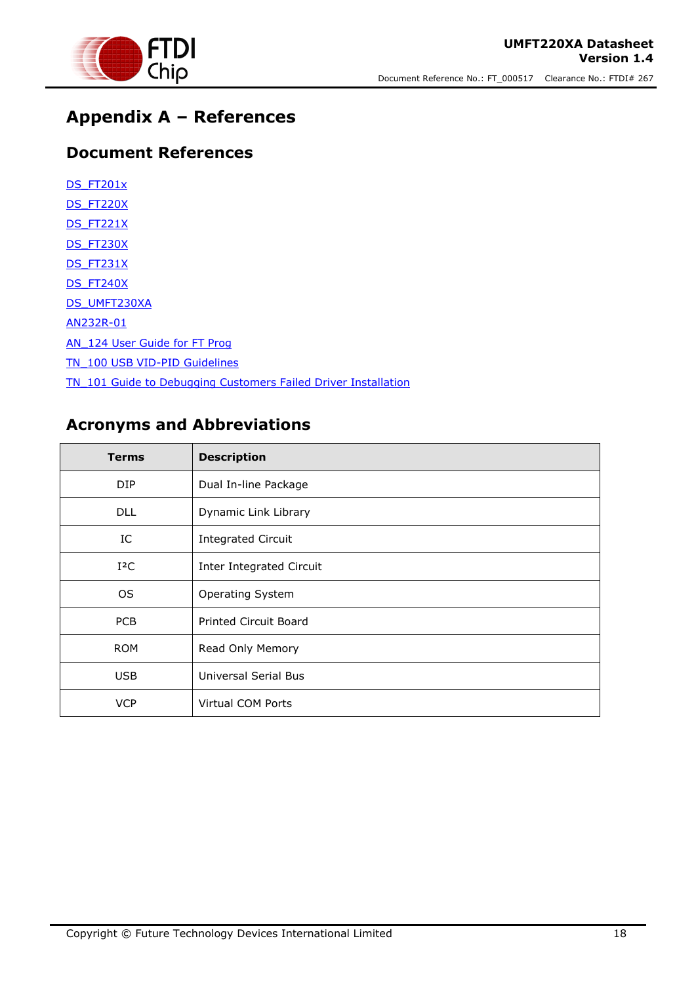

## <span id="page-17-0"></span>**Appendix A – References**

### <span id="page-17-1"></span>**Document References**

| <b>DS FT201x</b>                                               |
|----------------------------------------------------------------|
| DS FT220X                                                      |
| DS FT221X                                                      |
| DS FT230X                                                      |
| DS FT231X                                                      |
| DS FT240X                                                      |
| DS UMFT230XA                                                   |
| AN232R-01                                                      |
| <b>AN 124 User Guide for FT Prog</b>                           |
| TN 100 USB VID-PID Guidelines                                  |
| TN 101 Guide to Debugging Customers Failed Driver Installation |

### <span id="page-17-2"></span>**Acronyms and Abbreviations**

| <b>Terms</b> | <b>Description</b>           |
|--------------|------------------------------|
| DIP          | Dual In-line Package         |
| <b>DLL</b>   | Dynamic Link Library         |
| IC           | <b>Integrated Circuit</b>    |
| $I^2C$       | Inter Integrated Circuit     |
| OS.          | <b>Operating System</b>      |
| PCB          | <b>Printed Circuit Board</b> |
| <b>ROM</b>   | Read Only Memory             |
| <b>USB</b>   | <b>Universal Serial Bus</b>  |
| <b>VCP</b>   | Virtual COM Ports            |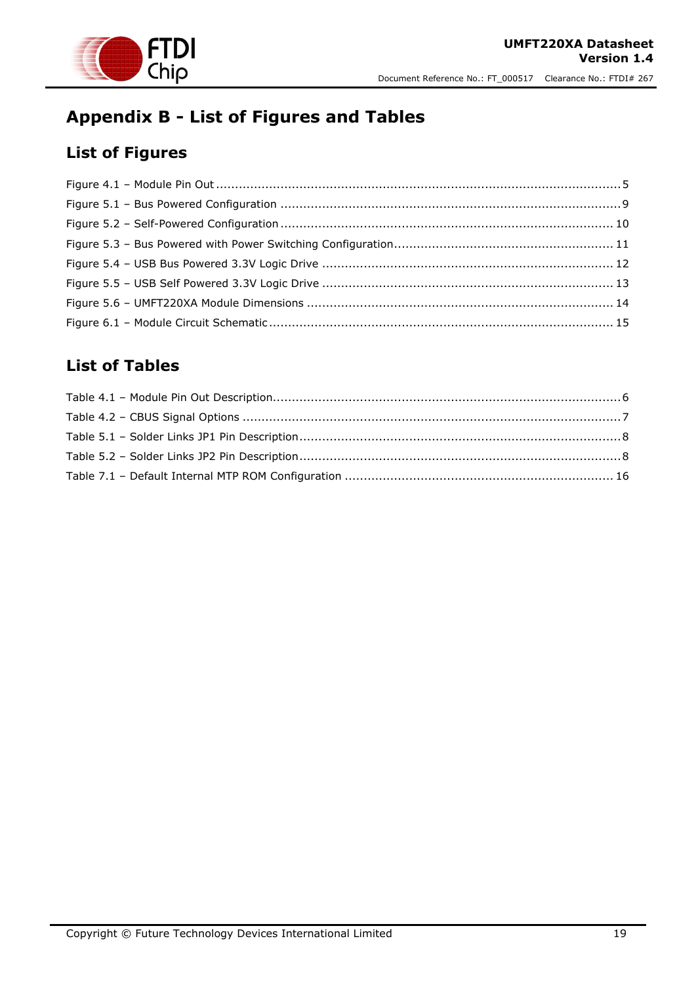

## <span id="page-18-0"></span>**Appendix B - List of Figures and Tables**

## <span id="page-18-1"></span>**List of Figures**

#### <span id="page-18-2"></span>**List of Tables**